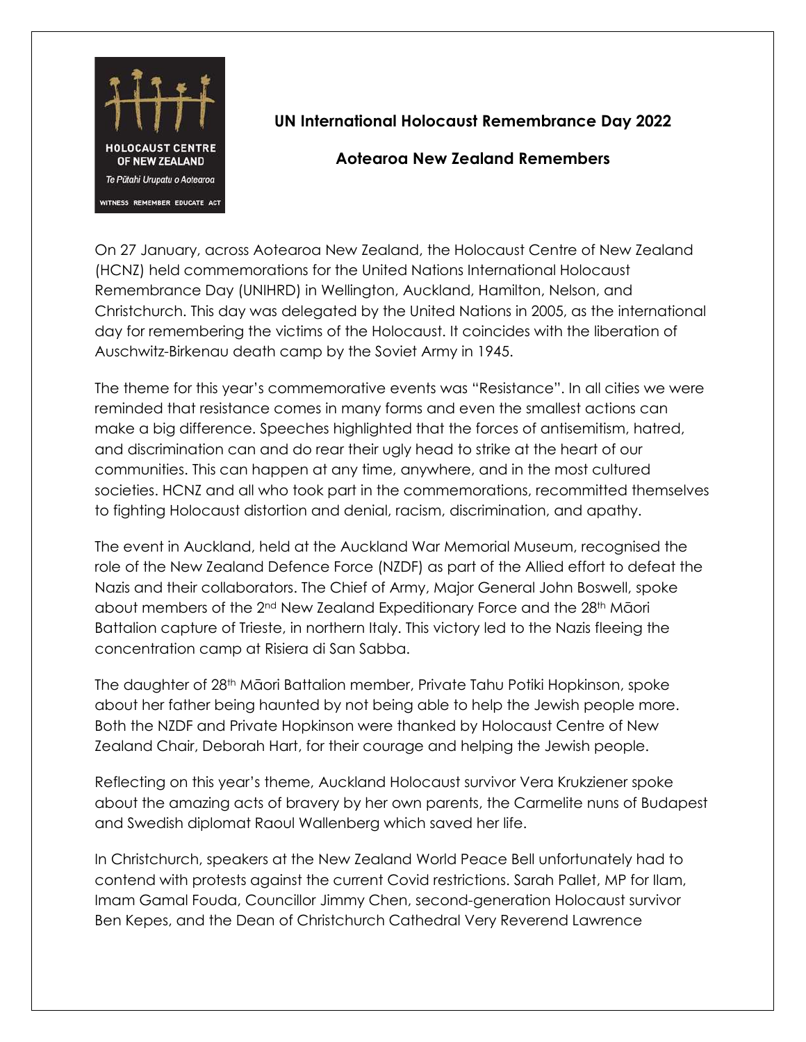

## **UN International Holocaust Remembrance Day 2022**

## **Aotearoa New Zealand Remembers**

On 27 January, across Aotearoa New Zealand, the Holocaust Centre of New Zealand (HCNZ) held commemorations for the United Nations International Holocaust Remembrance Day (UNIHRD) in Wellington, Auckland, Hamilton, Nelson, and Christchurch. This day was delegated by the United Nations in 2005, as the international day for remembering the victims of the Holocaust. It coincides with the liberation of Auschwitz-Birkenau death camp by the Soviet Army in 1945.

The theme for this year's commemorative events was "Resistance". In all cities we were reminded that resistance comes in many forms and even the smallest actions can make a big difference. Speeches highlighted that the forces of antisemitism, hatred, and discrimination can and do rear their ugly head to strike at the heart of our communities. This can happen at any time, anywhere, and in the most cultured societies. HCNZ and all who took part in the commemorations, recommitted themselves to fighting Holocaust distortion and denial, racism, discrimination, and apathy.

The event in Auckland, held at the Auckland War Memorial Museum, recognised the role of the New Zealand Defence Force (NZDF) as part of the Allied effort to defeat the Nazis and their collaborators. The Chief of Army, Major General John Boswell, spoke about members of the 2<sup>nd</sup> New Zealand Expeditionary Force and the 28<sup>th</sup> Māori Battalion capture of Trieste, in northern Italy. This victory led to the Nazis fleeing the concentration camp at Risiera di San Sabba.

The daughter of 28th Māori Battalion member, Private Tahu Potiki Hopkinson, spoke about her father being haunted by not being able to help the Jewish people more. Both the NZDF and Private Hopkinson were thanked by Holocaust Centre of New Zealand Chair, Deborah Hart, for their courage and helping the Jewish people.

Reflecting on this year's theme, Auckland Holocaust survivor Vera Krukziener spoke about the amazing acts of bravery by her own parents, the Carmelite nuns of Budapest and Swedish diplomat Raoul Wallenberg which saved her life.

In Christchurch, speakers at the New Zealand World Peace Bell unfortunately had to contend with protests against the current Covid restrictions. Sarah Pallet, MP for Ilam, Imam Gamal Fouda, Councillor Jimmy Chen, second-generation Holocaust survivor Ben Kepes, and the Dean of Christchurch Cathedral Very Reverend Lawrence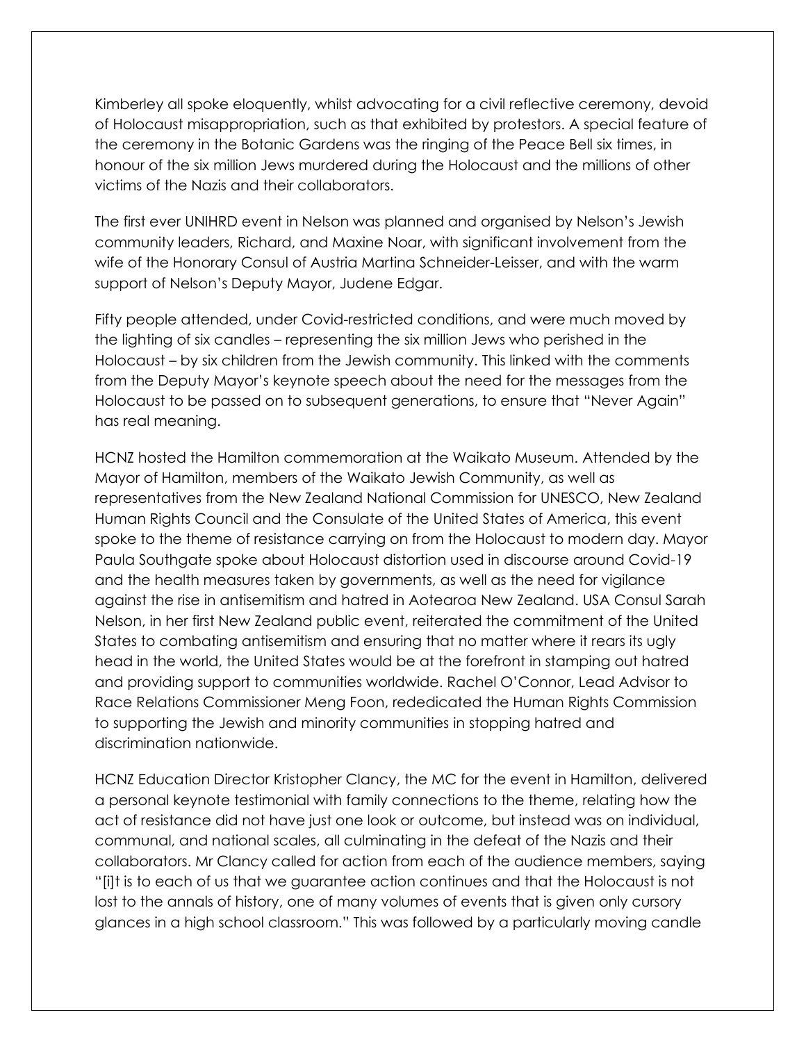Kimberley all spoke eloquently, whilst advocating for a civil reflective ceremony, devoid of Holocaust misappropriation, such as that exhibited by protestors. A special feature of the ceremony in the Botanic Gardens was the ringing of the Peace Bell six times, in honour of the six million Jews murdered during the Holocaust and the millions of other victims of the Nazis and their collaborators.

The first ever UNIHRD event in Nelson was planned and organised by Nelson's Jewish community leaders, Richard, and Maxine Noar, with significant involvement from the wife of the Honorary Consul of Austria Martina Schneider-Leisser, and with the warm support of Nelson's Deputy Mayor, Judene Edgar.

Fifty people attended, under Covid-restricted conditions, and were much moved by the lighting of six candles – representing the six million Jews who perished in the Holocaust – by six children from the Jewish community. This linked with the comments from the Deputy Mayor's keynote speech about the need for the messages from the Holocaust to be passed on to subsequent generations, to ensure that "Never Again" has real meaning.

HCNZ hosted the Hamilton commemoration at the Waikato Museum. Attended by the Mayor of Hamilton, members of the Waikato Jewish Community, as well as representatives from the New Zealand National Commission for UNESCO, New Zealand Human Rights Council and the Consulate of the United States of America, this event spoke to the theme of resistance carrying on from the Holocaust to modern day. Mayor Paula Southgate spoke about Holocaust distortion used in discourse around Covid-19 and the health measures taken by governments, as well as the need for vigilance against the rise in antisemitism and hatred in Aotearoa New Zealand. USA Consul Sarah Nelson, in her first New Zealand public event, reiterated the commitment of the United States to combating antisemitism and ensuring that no matter where it rears its ugly head in the world, the United States would be at the forefront in stamping out hatred and providing support to communities worldwide. Rachel O'Connor, Lead Advisor to Race Relations Commissioner Meng Foon, rededicated the Human Rights Commission to supporting the Jewish and minority communities in stopping hatred and discrimination nationwide.

HCNZ Education Director Kristopher Clancy, the MC for the event in Hamilton, delivered a personal keynote testimonial with family connections to the theme, relating how the act of resistance did not have just one look or outcome, but instead was on individual, communal, and national scales, all culminating in the defeat of the Nazis and their collaborators. Mr Clancy called for action from each of the audience members, saying "[i]t is to each of us that we guarantee action continues and that the Holocaust is not lost to the annals of history, one of many volumes of events that is given only cursory glances in a high school classroom." This was followed by a particularly moving candle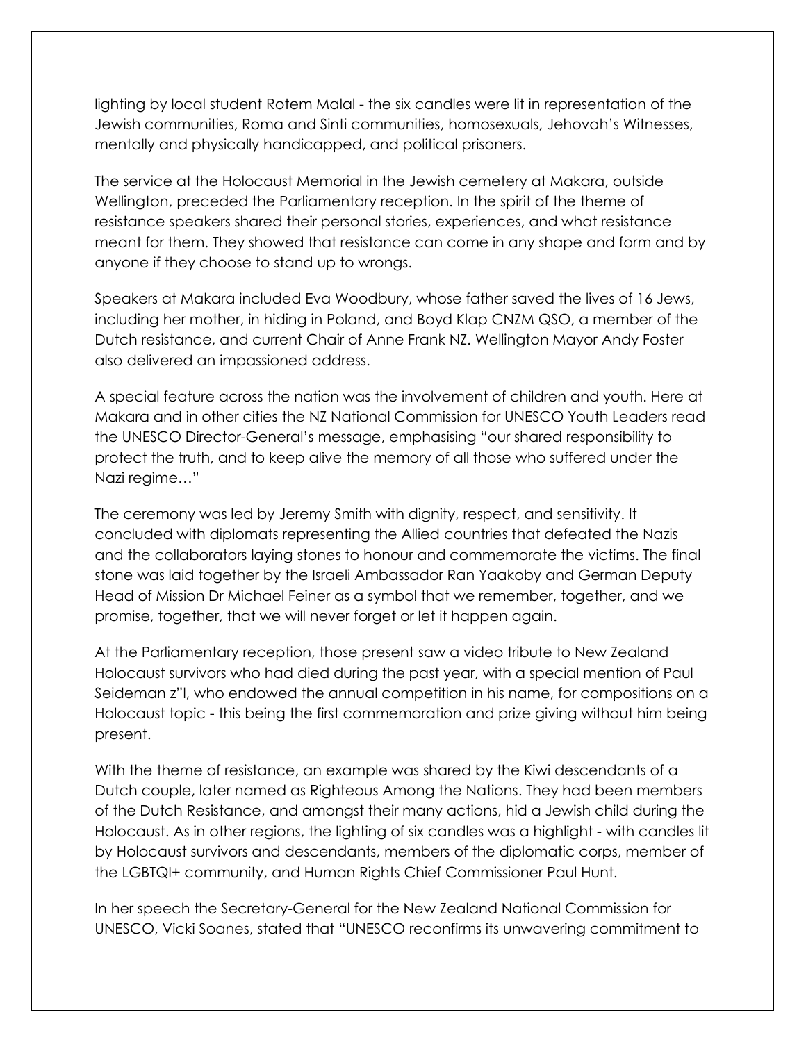lighting by local student Rotem Malal - the six candles were lit in representation of the Jewish communities, Roma and Sinti communities, homosexuals, Jehovah's Witnesses, mentally and physically handicapped, and political prisoners.

The service at the Holocaust Memorial in the Jewish cemetery at Makara, outside Wellington, preceded the Parliamentary reception. In the spirit of the theme of resistance speakers shared their personal stories, experiences, and what resistance meant for them. They showed that resistance can come in any shape and form and by anyone if they choose to stand up to wrongs.

Speakers at Makara included Eva Woodbury, whose father saved the lives of 16 Jews, including her mother, in hiding in Poland, and Boyd Klap CNZM QSO, a member of the Dutch resistance, and current Chair of Anne Frank NZ. Wellington Mayor Andy Foster also delivered an impassioned address.

A special feature across the nation was the involvement of children and youth. Here at Makara and in other cities the NZ National Commission for UNESCO Youth Leaders read the UNESCO Director-General's message, emphasising "our shared responsibility to protect the truth, and to keep alive the memory of all those who suffered under the Nazi regime…"

The ceremony was led by Jeremy Smith with dignity, respect, and sensitivity. It concluded with diplomats representing the Allied countries that defeated the Nazis and the collaborators laying stones to honour and commemorate the victims. The final stone was laid together by the Israeli Ambassador Ran Yaakoby and German Deputy Head of Mission Dr Michael Feiner as a symbol that we remember, together, and we promise, together, that we will never forget or let it happen again.

At the Parliamentary reception, those present saw a video tribute to New Zealand Holocaust survivors who had died during the past year, with a special mention of Paul Seideman z"l, who endowed the annual competition in his name, for compositions on a Holocaust topic - this being the first commemoration and prize giving without him being present.

With the theme of resistance, an example was shared by the Kiwi descendants of a Dutch couple, later named as Righteous Among the Nations. They had been members of the Dutch Resistance, and amongst their many actions, hid a Jewish child during the Holocaust. As in other regions, the lighting of six candles was a highlight - with candles lit by Holocaust survivors and descendants, members of the diplomatic corps, member of the LGBTQI+ community, and Human Rights Chief Commissioner Paul Hunt.

In her speech the Secretary-General for the New Zealand National Commission for UNESCO, Vicki Soanes, stated that "UNESCO reconfirms its unwavering commitment to